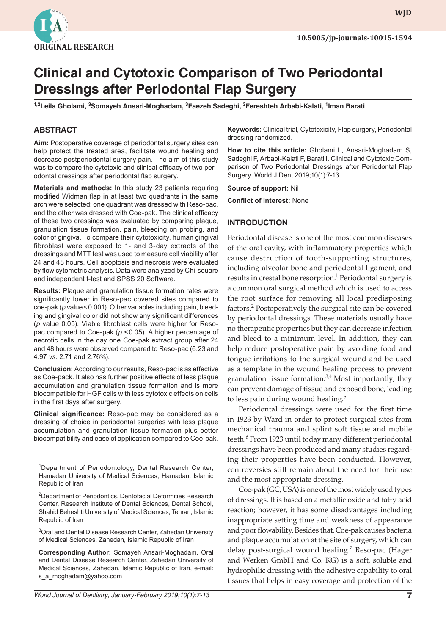

**WJD WJD**

# **Clinical and Cytotoxic Comparison of Two Periodontal Dressings after Periodontal Flap Surgery**

**1,2Leila Gholami, 3 Somayeh Ansari-Moghadam, 3 Faezeh Sadeghi, 3 Fereshteh Arbabi-Kalati, 1 Iman Barati**

## **ABSTRACT**

**Aim:** Postoperative coverage of periodontal surgery sites can help protect the treated area, facilitate wound healing and decrease postperiodontal surgery pain. The aim of this study was to compare the cytotoxic and clinical efficacy of two periodontal dressings after periodontal flap surgery.

**Materials and methods:** In this study 23 patients requiring modified Widman flap in at least two quadrants in the same arch were selected; one quadrant was dressed with Reso-pac, and the other was dressed with Coe-pak. The clinical efficacy of these two dressings was evaluated by comparing plaque, granulation tissue formation, pain, bleeding on probing, and color of gingiva. To compare their cytotoxicity, human gingival fibroblast were exposed to 1- and 3-day extracts of the dressings and MTT test was used to measure cell viability after 24 and 48 hours. Cell apoptosis and necrosis were evaluated by flow cytometric analysis. Data were analyzed by Chi-square and independent t-test and SPSS 20 Software.

**Results:** Plaque and granulation tissue formation rates were significantly lower in Reso-pac covered sites compared to coe-pak (*p* value<0.001). Other variables including pain, bleeding and gingival color did not show any significant differences (*p* value 0.05). Viable fibroblast cells were higher for Resopac compared to Coe-pak ( $p$  < 0.05). A higher percentage of necrotic cells in the day one Coe-pak extract group after 24 and 48 hours were observed compared to Reso-pac (6.23 and 4.97 *vs.* 2.71 and 2.76%).

**Conclusion:** According to our results, Reso-pac is as effective as Coe-pack. It also has further positive effects of less plaque accumulation and granulation tissue formation and is more biocompatible for HGF cells with less cytotoxic effects on cells in the first days after surgery.

**Clinical significance:** Reso-pac may be considered as a dressing of choice in periodontal surgeries with less plaque accumulation and granulation tissue formation plus better biocompatibility and ease of application compared to Coe-pak.

<sup>1</sup>Department of Periodontology, Dental Research Center, Hamadan University of Medical Sciences, Hamadan, Islamic Republic of Iran

<sup>2</sup>Department of Periodontics, Dentofacial Deformities Research Center, Research Institute of Dental Sciences, Dental School, Shahid Beheshti University of Medical Sciences, Tehran, Islamic Republic of Iran

<sup>3</sup>Oral and Dental Disease Research Center, Zahedan University of Medical Sciences, Zahedan, Islamic Republic of Iran

**Corresponding Author:** Somayeh Ansari-Moghadam, Oral and Dental Disease Research Center, Zahedan University of Medical Sciences, Zahedan, Islamic Republic of Iran, e-mail: s\_a\_moghadam@yahoo.com

**Keywords:** Clinical trial, Cytotoxicity, Flap surgery, Periodontal dressing randomized.

**How to cite this article:** Gholami L, Ansari-Moghadam S, Sadeghi F, Arbabi-Kalati F, Barati I. Clinical and Cytotoxic Comparison of Two Periodontal Dressings after Periodontal Flap Surgery. World J Dent 2019;10(1):7-13.

**Source of support:** Nil

**Conflict of interest:** None

#### **INTRODUCTION**

Periodontal disease is one of the most common diseases of the oral cavity, with inflammatory properties which cause destruction of tooth-supporting structures, including alveolar bone and periodontal ligament, and results in crestal bone resorption.<sup>1</sup> Periodontal surgery is a common oral surgical method which is used to access the root surface for removing all local predisposing factors.<sup>2</sup> Postoperatively the surgical site can be covered by periodontal dressings. These materials usually have no therapeutic properties but they can decrease infection and bleed to a minimum level. In addition, they can help reduce postoperative pain by avoiding food and tongue irritations to the surgical wound and be used as a template in the wound healing process to prevent granulation tissue formation. $3,4$  Most importantly; they can prevent damage of tissue and exposed bone, leading to less pain during wound healing.<sup>5</sup>

Periodontal dressings were used for the first time in 1923 by Ward in order to protect surgical sites from mechanical trauma and splint soft tissue and mobile teeth.<sup>6</sup> From 1923 until today many different periodontal dressings have been produced and many studies regarding their properties have been conducted. However, controversies still remain about the need for their use and the most appropriate dressing.

Coe-pak (GC, USA) is one of the most widely used types of dressings. It is based on a metallic oxide and fatty acid reaction; however, it has some disadvantages including inappropriate setting time and weakness of appearance and poor flowability. Besides that, Coe-pak causes bacteria and plaque accumulation at the site of surgery, which can delay post-surgical wound healing.<sup>7</sup> Reso-pac (Hager and Werken GmbH and Co. KG) is a soft, soluble and hydrophilic dressing with the adhesive capability to oral tissues that helps in easy coverage and protection of the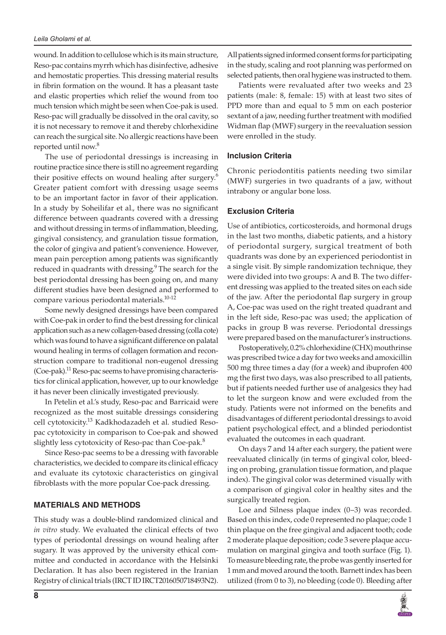#### *Leila Gholami et al.*

wound. In addition to cellulose which is its main structure, Reso-pac contains myrrh which has disinfective, adhesive and hemostatic properties. This dressing material results in fibrin formation on the wound. It has a pleasant taste and elastic properties which relief the wound from too much tension which might be seen when Coe-pak is used. Reso-pac will gradually be dissolved in the oral cavity, so it is not necessary to remove it and thereby chlorhexidine can reach the surgical site. No allergic reactions have been reported until now.<sup>8</sup>

The use of periodontal dressings is increasing in routine practice since there is still no agreement regarding their positive effects on wound healing after surgery.<sup>6</sup> Greater patient comfort with dressing usage seems to be an important factor in favor of their application. In a study by Soheilifar et al., there was no significant difference between quadrants covered with a dressing and without dressing in terms of inflammation, bleeding, gingival consistency, and granulation tissue formation, the color of gingiva and patient's convenience. However, mean pain perception among patients was significantly reduced in quadrants with dressing.<sup>9</sup> The search for the best periodontal dressing has been going on, and many different studies have been designed and performed to compare various periodontal materials.10-12

Some newly designed dressings have been compared with Coe-pak in order to find the best dressing for clinical application such as a new collagen-based dressing (colla cote) which was found to have a significant difference on palatal wound healing in terms of collagen formation and reconstruction compare to traditional non-eugenol dressing (Coe-pak).<sup>11</sup> Reso-pac seems to have promising characteristics for clinical application, however, up to our knowledge it has never been clinically investigated previously.

In Petelin et al.'s study, Reso-pac and Barricaid were recognized as the most suitable dressings considering cell cytotoxicity.<sup>13</sup> Kadkhodazadeh et al. studied Resopac cytotoxicity in comparison to Coe-pak and showed slightly less cytotoxicity of Reso-pac than Coe-pak.<sup>8</sup>

Since Reso-pac seems to be a dressing with favorable characteristics, we decided to compare its clinical efficacy and evaluate its cytotoxic characteristics on gingival fibroblasts with the more popular Coe-pack dressing.

#### **MATERIALS AND METHODS**

This study was a double-blind randomized clinical and *in vitro* study. We evaluated the clinical effects of two types of periodontal dressings on wound healing after sugary. It was approved by the university ethical committee and conducted in accordance with the Helsinki Declaration. It has also been registered in the Iranian Registry of clinical trials (IRCT ID IRCT2016050718493N2).

All patients signed informed consent forms for participating in the study, scaling and root planning was performed on selected patients, then oral hygiene was instructed to them.

Patients were revaluated after two weeks and 23 patients (male: 8, female: 15) with at least two sites of PPD more than and equal to 5 mm on each posterior sextant of a jaw, needing further treatment with modified Widman flap (MWF) surgery in the reevaluation session were enrolled in the study.

#### **Inclusion Criteria**

Chronic periodontitis patients needing two similar (MWF) surgeries in two quadrants of a jaw, without intrabony or angular bone loss.

#### **Exclusion Criteria**

Use of antibiotics, corticosteroids, and hormonal drugs in the last two months, diabetic patients, and a history of periodontal surgery, surgical treatment of both quadrants was done by an experienced periodontist in a single visit. By simple randomization technique, they were divided into two groups: A and B. The two different dressing was applied to the treated sites on each side of the jaw. After the periodontal flap surgery in group A, Coe-pac was used on the right treated quadrant and in the left side, Reso-pac was used; the application of packs in group B was reverse. Periodontal dressings were prepared based on the manufacturer's instructions.

Postoperatively, 0.2% chlorhexidine (CHX) mouthrinse was prescribed twice a day for two weeks and amoxicillin 500 mg three times a day (for a week) and ibuprofen 400 mg the first two days, was also prescribed to all patients, but if patients needed further use of analgesics they had to let the surgeon know and were excluded from the study. Patients were not informed on the benefits and disadvantages of different periodontal dressings to avoid patient psychological effect, and a blinded periodontist evaluated the outcomes in each quadrant.

On days 7 and 14 after each surgery, the patient were reevaluated clinically (in terms of gingival color, bleeding on probing, granulation tissue formation, and plaque index). The gingival color was determined visually with a comparison of gingival color in healthy sites and the surgically treated region.

Loe and Silness plaque index (0–3) was recorded. Based on this index, code 0 represented no plaque; code 1 thin plaque on the free gingival and adjacent tooth; code 2 moderate plaque deposition; code 3 severe plaque accumulation on marginal gingiva and tooth surface (Fig. 1). To measure bleeding rate, the probe was gently inserted for 1 mm and moved around the tooth. Barnett index has been utilized (from 0 to 3), no bleeding (code 0). Bleeding after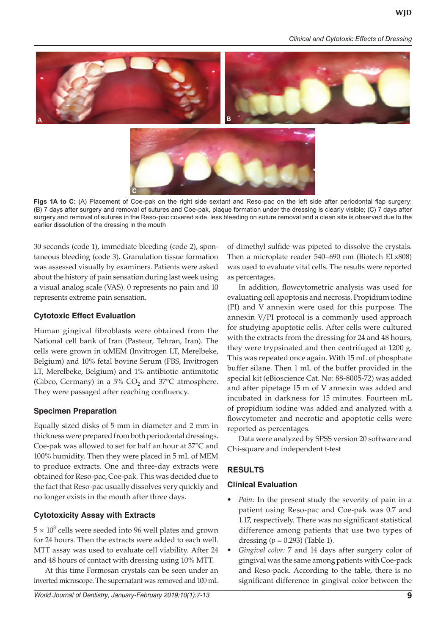*Clinical and Cytotoxic Effects of Dressing*



Figs 1A to C: (A) Placement of Coe-pak on the right side sextant and Reso-pac on the left side after periodontal flap surgery; (B) 7 days after surgery and removal of sutures and Coe-pak, plaque formation under the dressing is clearly visible; (C) 7 days after surgery and removal of sutures in the Reso-pac covered side, less bleeding on suture removal and a clean site is observed due to the earlier dissolution of the dressing in the mouth

30 seconds (code 1), immediate bleeding (code 2), spontaneous bleeding (code 3). Granulation tissue formation was assessed visually by examiners. Patients were asked about the history of pain sensation during last week using a visual analog scale (VAS). 0 represents no pain and 10 represents extreme pain sensation.

**C**

#### **Cytotoxic Effect Evaluation**

Human gingival fibroblasts were obtained from the National cell bank of Iran (Pasteur, Tehran, Iran). The cells were grown in αMEM (Invitrogen LT, Merelbeke, Belgium) and 10% fetal bovine Serum (FBS, Invitrogen LT, Merelbeke, Belgium) and 1% antibiotic–antimitotic (Gibco, Germany) in a 5%  $CO<sub>2</sub>$  and 37°C atmosphere. They were passaged after reaching confluency.

#### **Specimen Preparation**

Equally sized disks of 5 mm in diameter and 2 mm in thickness were prepared from both periodontal dressings. Coe-pak was allowed to set for half an hour at 37°C and 100% humidity. Then they were placed in 5 mL of MEM to produce extracts. One and three-day extracts were obtained for Reso-pac, Coe-pak. This was decided due to the fact that Reso-pac usually dissolves very quickly and no longer exists in the mouth after three days.

## **Cytotoxicity Assay with Extracts**

 $5 \times 10^3$  cells were seeded into 96 well plates and grown for 24 hours. Then the extracts were added to each well. MTT assay was used to evaluate cell viability. After 24 and 48 hours of contact with dressing using 10% MTT.

At this time Formosan crystals can be seen under an inverted microscope. The supernatant was removed and 100 mL of dimethyl sulfide was pipeted to dissolve the crystals. Then a microplate reader 540–690 nm (Biotech ELx808) was used to evaluate vital cells. The results were reported as percentages.

In addition, flowcytometric analysis was used for evaluating cell apoptosis and necrosis. Propidium iodine (PI) and V annexin were used for this purpose. The annexin V/PI protocol is a commonly used approach for studying apoptotic cells. After cells were cultured with the extracts from the dressing for 24 and 48 hours, they were trypsinated and then centrifuged at 1200 g. This was repeated once again. With 15 mL of phosphate buffer silane. Then 1 mL of the buffer provided in the special kit (eBioscience Cat. No: 88-8005-72) was added and after pipetage 15 m of V annexin was added and incubated in darkness for 15 minutes. Fourteen mL of propidium iodine was added and analyzed with a flowcytometer and necrotic and apoptotic cells were reported as percentages.

Data were analyzed by SPSS version 20 software and Chi-square and independent t-test

## **RESULTS**

## **Clinical Evaluation**

- *• Pain:* In the present study the severity of pain in a patient using Reso-pac and Coe-pak was 0.7 and 1.17, respectively. There was no significant statistical difference among patients that use two types of dressing  $(p = 0.293)$  (Table 1).
- *• Gingival color:* 7 and 14 days after surgery color of gingival was the same among patients with Coe-pack and Reso-pack. According to the table, there is no significant difference in gingival color between the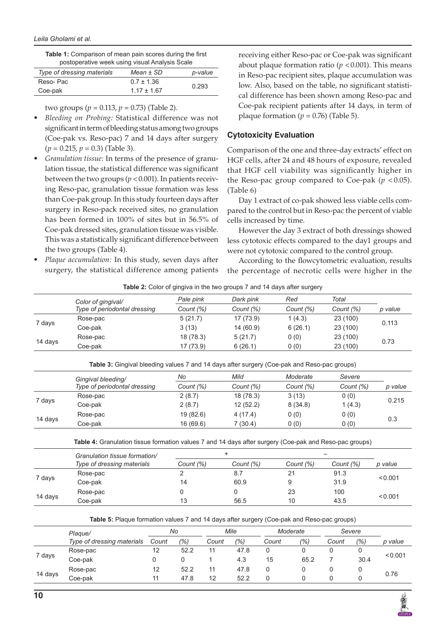| <b>Table 1:</b> Comparison of mean pain scores during the first |
|-----------------------------------------------------------------|
| postoperative week using visual Analysis Scale                  |

| Type of dressing materials | $Mean \pm SD$   | p-value |
|----------------------------|-----------------|---------|
| Reso-Pac                   | $0.7 \pm 1.36$  |         |
| Coe-pak                    | $1.17 \pm 1.67$ | 0.293   |

two groups ( $p = 0.113$ ,  $p = 0.73$ ) (Table 2).

- *• Bleeding on Probing:* Statistical difference was not significant in term of bleeding status among two groups (Coe-pak vs. Reso-pac) 7 and 14 days after surgery (*p* = 0.215, *p* = 0.3) (Table 3).
- *• Granulation tissue:* In terms of the presence of granulation tissue, the statistical difference was significant between the two groups ( $p < 0.001$ ). In patients receiving Reso-pac, granulation tissue formation was less than Coe-pak group. In this study fourteen days after surgery in Reso-pack received sites, no granulation has been formed in 100% of sites but in 56.5% of Coe-pak dressed sites, granulation tissue was visible. This was a statistically significant difference between the two groups (Table 4).
- *• Plaque accumulation:* In this study, seven days after surgery, the statistical difference among patients

receiving either Reso-pac or Coe-pak was significant about plaque formation ratio ( $p < 0.001$ ). This means in Reso-pac recipient sites, plaque accumulation was low. Also, based on the table, no significant statistical difference has been shown among Reso-pac and Coe-pak recipient patients after 14 days, in term of plaque formation ( $p = 0.76$ ) (Table 5).

## **Cytotoxicity Evaluation**

Comparison of the one and three-day extracts' effect on HGF cells, after 24 and 48 hours of exposure, revealed that HGF cell viability was significantly higher in the Reso-pac group compared to Coe-pak ( $p < 0.05$ ). (Table 6)

Day 1 extract of co-pak showed less viable cells compared to the control but in Reso-pac the percent of viable cells increased by time.

However the day 3 extract of both dressings showed less cytotoxic effects compared to the day1 groups and were not cytotoxic compared to the control group.

According to the flowcytometric evaluation, results the percentage of necrotic cells were higher in the

|  | <b>Table 2:</b> Color of gingiva in the two groups 7 and 14 days after surgery |  |  |
|--|--------------------------------------------------------------------------------|--|--|
|  |                                                                                |  |  |

|         | Color of gingival/           | Pale pink | Dark pink | Red       | Total     |         |  |
|---------|------------------------------|-----------|-----------|-----------|-----------|---------|--|
|         | Type of periodontal dressing | Count (%) | Count (%) | Count (%) | Count (%) | p value |  |
| 7 days  | Rose-pac                     | 5(21.7)   | 17 (73.9) | 1(4.3)    | 23 (100)  | 0.113   |  |
|         | Coe-pak                      | 3(13)     | 14 (60.9) | 6(26.1)   | 23 (100)  |         |  |
| 14 days | Rose-pac                     | 18 (78.3) | 5(21.7)   | 0(0)      | 23 (100)  |         |  |
|         | Coe-pak                      | 17 (73.9) | 6(26.1)   | 0(0)      | 23 (100)  | 0.73    |  |

**Table 3:** Gingival bleeding values 7 and 14 days after surgery (Coe-pak and Reso-pac groups)

|         | Gingival bleeding/           | No        | Mild      | Moderate  | Severe    |         |  |
|---------|------------------------------|-----------|-----------|-----------|-----------|---------|--|
|         | Type of periodontal dressing | Count (%) | Count (%) | Count (%) | Count (%) | p value |  |
| 7 days  | Rose-pac                     | 2(8.7)    | 18 (78.3) | 3(13)     | 0(0)      |         |  |
|         | Coe-pak                      | 2(8.7)    | 12(52.2)  | 8(34.8)   | 1(4.3)    | 0.215   |  |
| 14 days | Rose-pac                     | 19(82.6)  | 4(17.4)   | 0(0)      | 0(0)      |         |  |
|         | Coe-pak                      | 16 (69.6) | 7 (30.4)  | 0(0)      | 0(0)      | 0.3     |  |

**Table 4:** Granulation tissue formation values 7 and 14 days after surgery (Coe-pak and Reso-pac groups)

|         | Granulation tissue formation/ |           |           |           | -         |         |
|---------|-------------------------------|-----------|-----------|-----------|-----------|---------|
|         | Type of dressing materials    | Count (%) | Count (%) | Count (%) | Count (%) | p value |
|         | Rose-pac                      |           | 8.7       |           | 91.3      |         |
| 7 days  | Coe-pak                       | 14        | 60.9      |           | 31.9      | < 0.001 |
| 14 days | Rose-pac                      |           |           | 23        | 100       |         |
|         | Coe-pak                       | 13        | 56.5      | 10        | 43.5      | < 0.001 |

**Table 5:** Plaque formation values 7 and 14 days after surgery (Coe-pak and Reso-pac groups)

|         | Plague/                    | No    |      |       | Mile          |       | Moderate |       | Severe |         |  |
|---------|----------------------------|-------|------|-------|---------------|-------|----------|-------|--------|---------|--|
|         | Type of dressing materials | Count | (%)  | Count | $\frac{9}{6}$ | Count | (%)      | Count | (%)    | p value |  |
|         | Rose-pac                   | 12    | 52.2 |       | 47.8          |       |          |       |        |         |  |
| 7 days  | Coe-pak                    |       |      |       | 4.3           | 15    | 65.2     |       | 30.4   | < 0.001 |  |
|         | Rose-pac                   | 12    | 52.2 | 11    | 47.8          |       |          |       |        | 0.76    |  |
| 14 days | Coe-pak                    | 11    | 47.8 | 12    | 52.2          |       |          |       |        |         |  |

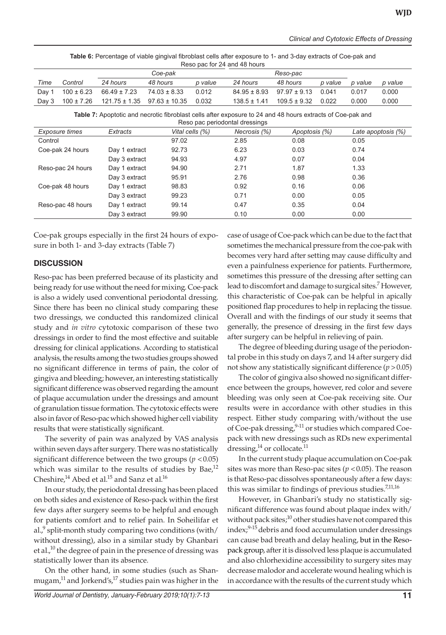| Table 6: Percentage of viable gingival fibroblast cells after exposure to 1- and 3-day extracts of Coe-pak and |  |
|----------------------------------------------------------------------------------------------------------------|--|
| Reso pac for 24 and 48 hours                                                                                   |  |

|      |         | Coe-pak                               |                                                          |         | Reso-pac         |                                         |         |         |         |
|------|---------|---------------------------------------|----------------------------------------------------------|---------|------------------|-----------------------------------------|---------|---------|---------|
| Time | Control | 24 hours                              | 48 hours                                                 | p value | 24 hours         | 48 hours                                | p value | p value | p value |
|      |         | Day 1 $100 \pm 6.23$ $66.49 \pm 7.23$ | $74.03 \pm 8.33$                                         | 0.012   |                  | $84.95 \pm 8.93$ $97.97 \pm 9.13$ 0.041 |         | 0.017   | 0.000   |
|      |         |                                       | Day 3 $100 \pm 7.26$ $121.75 \pm 1.35$ $97.63 \pm 10.35$ | 0.032   | $138.5 \pm 1.41$ | $109.5 \pm 9.32$ 0.022                  |         | 0.000   | 0.000   |

**Table 7:** Apoptotic and necrotic fibroblast cells after exposure to 24 and 48 hours extracts of Coe-pak and Reso pac periodontal dressings

| <b>TWO DUP DOITOUD THAT OF COOTING</b> |               |                 |              |               |                    |  |  |  |  |  |
|----------------------------------------|---------------|-----------------|--------------|---------------|--------------------|--|--|--|--|--|
| <b>Exposure times</b>                  | Extracts      | Vital cells (%) | Necrosis (%) | Apoptosis (%) | Late apoptosis (%) |  |  |  |  |  |
| Control                                |               | 97.02           | 2.85         | 0.08          | 0.05               |  |  |  |  |  |
| Coe-pak 24 hours                       | Day 1 extract | 92.73           | 6.23         | 0.03          | 0.74               |  |  |  |  |  |
|                                        | Day 3 extract | 94.93           | 4.97         | 0.07          | 0.04               |  |  |  |  |  |
| Reso-pac 24 hours                      | Day 1 extract | 94.90           | 2.71         | 1.87          | 1.33               |  |  |  |  |  |
|                                        | Day 3 extract | 95.91           | 2.76         | 0.98          | 0.36               |  |  |  |  |  |
| Coe-pak 48 hours                       | Day 1 extract | 98.83           | 0.92         | 0.16          | 0.06               |  |  |  |  |  |
|                                        | Day 3 extract | 99.23           | 0.71         | 0.00          | 0.05               |  |  |  |  |  |
| Reso-pac 48 hours                      | Day 1 extract | 99.14           | 0.47         | 0.35          | 0.04               |  |  |  |  |  |
|                                        | Day 3 extract | 99.90           | 0.10         | 0.00          | 0.00               |  |  |  |  |  |

Coe-pak groups especially in the first 24 hours of exposure in both 1- and 3-day extracts (Table 7)

## **DISCUSSION**

Reso-pac has been preferred because of its plasticity and being ready for use without the need for mixing. Coe-pack is also a widely used conventional periodontal dressing. Since there has been no clinical study comparing these two dressings, we conducted this randomized clinical study and *in vitro* cytotoxic comparison of these two dressings in order to find the most effective and suitable dressing for clinical applications. According to statistical analysis, the results among the two studies groups showed no significant difference in terms of pain, the color of gingiva and bleeding; however, an interesting statistically significant difference was observed regarding the amount of plaque accumulation under the dressings and amount of granulation tissue formation. The cytotoxic effects were also in favor of Reso-pac which showed higher cell viability results that were statistically significant.

The severity of pain was analyzed by VAS analysis within seven days after surgery. There was no statistically significant difference between the two groups ( $p < 0.05$ ) which was similar to the results of studies by Bae, $^{12}$ Cheshire,<sup>14</sup> Abed et al.<sup>15</sup> and Sanz et al.<sup>16</sup>

In our study, the periodontal dressing has been placed on both sides and existence of Reso-pack within the first few days after surgery seems to be helpful and enough for patients comfort and to relief pain. In Soheilifar et al. $,9$  split-month study comparing two conditions (with/ without dressing), also in a similar study by Ghanbari et al.,<sup>10</sup> the degree of pain in the presence of dressing was statistically lower than its absence.

On the other hand, in some studies (such as Shanmugam, $^{11}$  and Jorkend's, $^{17}$  studies pain was higher in the case of usage of Coe-pack which can be due to the fact that sometimes the mechanical pressure from the coe-pak with becomes very hard after setting may cause difficulty and even a painfulness experience for patients. Furthermore, sometimes this pressure of the dressing after setting can lead to discomfort and damage to surgical sites.<sup>7</sup> However, this characteristic of Coe-pak can be helpful in apically positioned flap procedures to help in replacing the tissue. Overall and with the findings of our study it seems that generally, the presence of dressing in the first few days after surgery can be helpful in relieving of pain.

The degree of bleeding during usage of the periodontal probe in this study on days 7, and 14 after surgery did not show any statistically significant difference  $(p > 0.05)$ 

The color of gingiva also showed no significant difference between the groups, however, red color and severe bleeding was only seen at Coe-pak receiving site. Our results were in accordance with other studies in this respect. Either study comparing with/without the use of Coe-pak dressing, $9-11$  or studies which compared Coepack with new dressings such as RDs new experimental dressing, $^{14}$  or collocate. $^{11}$ 

In the current study plaque accumulation on Coe-pak sites was more than Reso-pac sites  $(p < 0.05)$ . The reason is that Reso-pac dissolves spontaneously after a few days: this was similar to findings of previous studies.<sup>7,11,16</sup>

However, in Ghanbari's study no statistically significant difference was found about plaque index with/ without pack sites; $^{10}$  other studies have not compared this index; $9-15$  debris and food accumulation under dressings can cause bad breath and delay healing, but in the Resopack group, after it is dissolved less plaque is accumulated and also chlorhexidine accessibility to surgery sites may decrease malodor and accelerate wound healing which is in accordance with the results of the current study which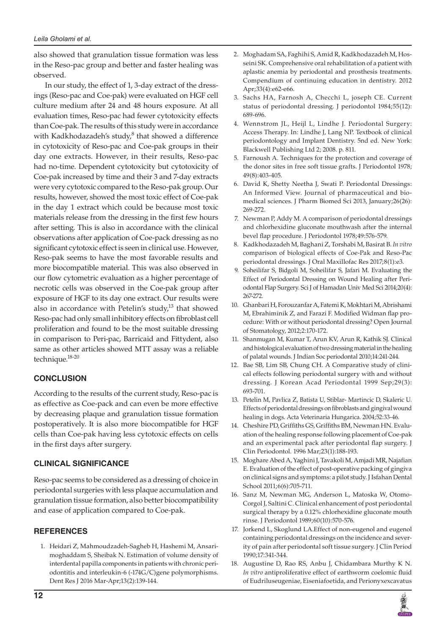also showed that granulation tissue formation was less in the Reso-pac group and better and faster healing was observed.

In our study, the effect of 1, 3-day extract of the dressings (Reso-pac and Coe-pak) were evaluated on HGF cell culture medium after 24 and 48 hours exposure. At all evaluation times, Reso-pac had fewer cytotoxicity effects than Coe-pak. The results of this study were in accordance with Kadkhodazadeh's study, $^8$  that showed a difference in cytotoxicity of Reso-pac and Coe-pak groups in their day one extracts. However, in their results, Reso-pac had no-time. Dependent cytotoxicity but cytotoxicity of Coe-pak increased by time and their 3 and 7-day extracts were very cytotoxic compared to the Reso-pak group. Our results, however, showed the most toxic effect of Coe-pak in the day 1 extract which could be because most toxic materials release from the dressing in the first few hours after setting. This is also in accordance with the clinical observations after application of Coe-pack dressing as no significant cytotoxic effect is seen in clinical use. However, Reso-pak seems to have the most favorable results and more biocompatible material. This was also observed in our flow cytometric evaluation as a higher percentage of necrotic cells was observed in the Coe-pak group after exposure of HGF to its day one extract. Our results were also in accordance with Petelin's study, $13$  that showed Reso-pac had only small inhibitory effects on fibroblast cell proliferation and found to be the most suitable dressing in comparison to Peri-pac, Barricaid and Fittydent, also same as other articles showed MTT assay was a reliable technique.18-20

# **CONCLUSION**

According to the results of the current study, Reso-pac is as effective as Coe-pack and can even be more effective by decreasing plaque and granulation tissue formation postoperatively. It is also more biocompatible for HGF cells than Coe-pak having less cytotoxic effects on cells in the first days after surgery.

# **CLINICAL SIGNIFICANCE**

Reso-pac seems to be considered as a dressing of choice in periodontal surgeries with less plaque accumulation and granulation tissue formation, also better biocompatibility and ease of application compared to Coe-pak.

# **REFERENCES**

1. Heidari Z, Mahmoudzadeh-Sagheb H, Hashemi M, Ansarimoghaddam S, Sheibak N. Estimation of volume density of interdental papilla components in patients with chronic periodontitis and interleukin-6 (-174G/C)gene polymorphisms. Dent Res J 2016 Mar-Apr;13(2):139-144.

- 2. Moghadam SA, Faghihi S, Amid R, Kadkhodazadeh M, Hosseini SK. Comprehensive oral rehabilitation of a patient with aplastic anemia by periodontal and prosthesis treatments. Compendium of continuing education in dentistry. 2012 Apr;33(4):e62-e66.
- 3. Sachs HA, Farnosh A, Checchi L, joseph CE. Current status of periodontal dressing. J periodontol 1984;55(12): 689-696.
- 4. Wennstrom JL, Heijl L, Lindhe J. Periodontal Surgery: Access Therapy. In: Lindhe J, Lang NP. Textbook of clinical periodontology and Implant Dentistry. 5nd ed. New York: Blackwell Publishing Ltd 2; 2008. p. 811.
- 5. Farnoush A. Techniques for the protection and coverage of the donor sites in free soft tissue grafts. J Periodontol 1978; 49(8):403-405.
- 6. David K, Shetty Neetha J, Swati P. Periodontal Dressings: An Informed View. Journal of pharmaceutical and biomedical sciences. J Pharm Biomed Sci 2013, January;26(26): 269-272.
- 7. Newman P, Addy M. A comparison of periodontal dressings and chlorhexidine gluconate mouthwash after the internal bevel flap procedure. J Periodontol 1978;49:576-579.
- 8. Kadkhodazadeh M, Baghani Z, Torshabi M, Basirat B. *In vitro* comparison of biological effects of Coe-Pak and Reso-Pac periodontal dressings. J Oral Maxillofac Res 2017;8(1):e3.
- 9. Soheilifar S, Bidgoli M, Soheilifar S, Jafari M. Evaluating the Effect of Periodontal Dressing on Wound Healing after Periodontal Flap Surgery. Sci J of Hamadan Univ Med Sci 2014;20(4): 267-272.
- 10. Ghanbari H, Forouzanfar A, Fatemi K, Mokhtari M, Abrishami M, Ebrahiminik Z, and Farazi F. Modified Widman flap procedure: With or without periodontal dressing? Open Journal of Stomatology, 2012;2:170-172.
- 11. Shanmugan M, Kumar T, Arun KV, Arun R, Kathik SJ. Clinical and histological evaluation of two dressing material in the healing of palatal wounds. J Indian Soc periodontal 2010;14:241-244.
- 12. Bae SB, Lim SB, Chung CH. A Comparative study of clinical effects following periodontal surgery with and without dressing. J Korean Acad Periodontal 1999 Sep;29(3): 693-701.
- 13. Petelin M, Pavlica Z, Batista U, Stiblar- Martincic D, Skaleric U. Effects of periodontal dressings on fibroblasts and gingival wound healing in dogs. Acta Veterinaria Hungarica. 2004;52:33-46.
- 14. Cheshire PD, Griffiths GS, Griffiths BM, Newman HN. Evaluation of the healing response following placement of Coe-pak and an experimental pack after periodontal flap surgery. J Clin Periodontol. 1996 Mar;23(1):188-193.
- 15. Moghare Abed A, Yaghini J, Tavakoli M, Amjadi MR, Najafian E. Evaluation of the effect of post-operative packing of gingiva on clinical signs and symptoms: a pilot study. J Isfahan Dental School 2011;6(6):705-711.
- 16. Sanz M, Newman MG, Anderson L, Matoska W, Otomo-Corgol J, Saltini C. Clinical enhancement of post periodontal surgical therapy by a 0.12% chlorhexidine gluconate mouth rinse. J Periodontol 1989;60(10):570-576.
- 17. Jorkend L, Skoglund LA.Effect of non-eugenol and eugenol containing periodontal dressings on the incidence and severity of pain after periodontal soft tissue surgery. J Clin Period 1990;17:341-344.
- 18. Augustine D, Rao RS, Anbu J, Chidambara Murthy K N. *In vitro* antiproliferative effect of earthworm coelomic fluid of Eudriluseugeniae, Eiseniafoetida, and Perionyxexcavatus